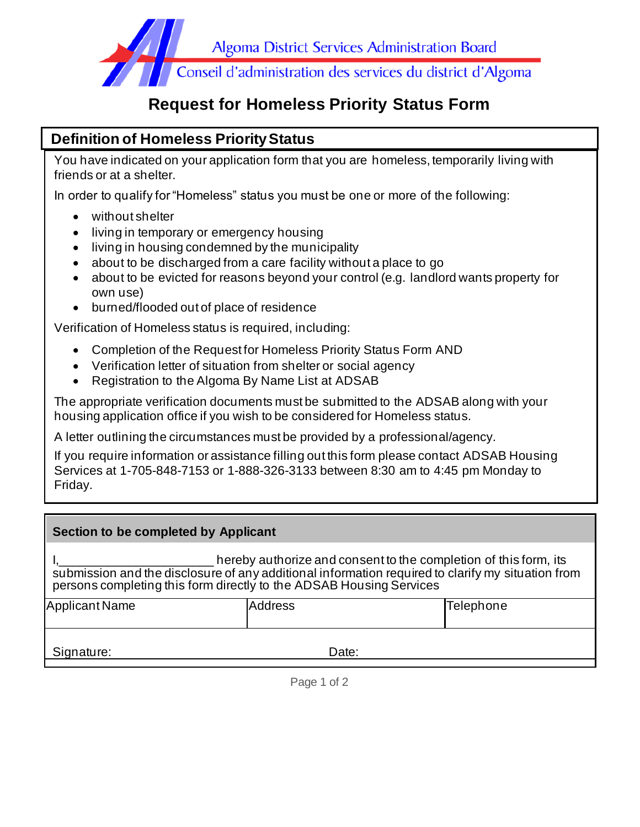

## **Request for Homeless Priority Status Form**

## **Definition of Homeless Priority Status**

You have indicated on your application form that you are homeless, temporarily living with friends or at a shelter.

In order to qualify for "Homeless" status you must be one or more of the following:

- without shelter
- living in temporary or emergency housing
- living in housing condemned by the municipality
- about to be discharged from a care facility without a place to go
- about to be evicted for reasons beyond your control (e.g. landlord wants property for own use)
- burned/flooded out of place of residence

Verification of Homeless status is required, including:

- Completion of the Request for Homeless Priority Status Form AND
- Verification letter of situation from shelter or social agency
- Registration to the Algoma By Name List at ADSAB

The appropriate verification documents must be submitted to the ADSAB along with your housing application office if you wish to be considered for Homeless status.

A letter outlining the circumstances must be provided by a professional/agency.

If you require information or assistance filling out this form please contact ADSAB Housing Services at 1-705-848-7153 or 1-888-326-3133 between 8:30 am to 4:45 pm Monday to Friday.

| Section to be completed by Applicant                                                                                                                                                                                                         |                |           |  |  |
|----------------------------------------------------------------------------------------------------------------------------------------------------------------------------------------------------------------------------------------------|----------------|-----------|--|--|
| hereby authorize and consent to the completion of this form, its<br>submission and the disclosure of any additional information required to clarify my situation from<br>persons completing this form directly to the ADSAB Housing Services |                |           |  |  |
| <b>Applicant Name</b>                                                                                                                                                                                                                        | <b>Address</b> | Telephone |  |  |
| Signature:                                                                                                                                                                                                                                   | Date:          |           |  |  |

Page 1 of 2